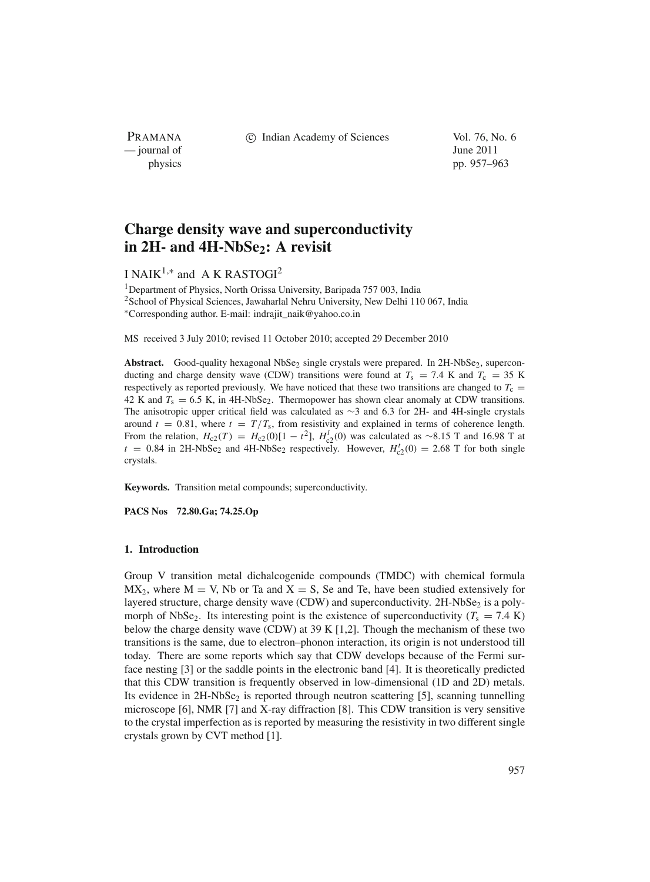PRAMANA — journal of June 2011

c Indian Academy of Sciences Vol. 76, No. 6

physics pp. 957–963

# **Charge density wave and superconductivity** in 2H- and 4H-NbSe<sub>2</sub>: A revisit

## I NAIK<sup>1,∗</sup> and A K RASTOGI<sup>2</sup>

<sup>1</sup>Department of Physics, North Orissa University, Baripada 757 003, India 2School of Physical Sciences, Jawaharlal Nehru University, New Delhi 110 067, India <sup>∗</sup>Corresponding author. E-mail: indrajit\_naik@yahoo.co.in

MS received 3 July 2010; revised 11 October 2010; accepted 29 December 2010

Abstract. Good-quality hexagonal NbSe<sub>2</sub> single crystals were prepared. In 2H-NbSe<sub>2</sub>, superconducting and charge density wave (CDW) transitions were found at  $T_s = 7.4$  K and  $T_c = 35$  K respectively as reported previously. We have noticed that these two transitions are changed to  $T_c$  = 42 K and  $T_s = 6.5$  K, in 4H-NbSe<sub>2</sub>. Thermopower has shown clear anomaly at CDW transitions. The anisotropic upper critical field was calculated as ∼3 and 6.3 for 2H- and 4H-single crystals around  $t = 0.81$ , where  $t = T/T_s$ , from resistivity and explained in terms of coherence length. From the relation,  $H_{c2}(T) = H_{c2}(0)[1 - t^2]$ ,  $H_{c2}^1(0)$  was calculated as ~8.15 T and 16.98 T at  $t = 0.84$  in 2H-NbSe<sub>2</sub> and 4H-NbSe<sub>2</sub> respectively. However,  $H_{c2}^{t}(0) = 2.68$  T for both single crystals.

**Keywords.** Transition metal compounds; superconductivity.

**PACS Nos 72.80.Ga; 74.25.Op**

## **1. Introduction**

Group V transition metal dichalcogenide compounds (TMDC) with chemical formula  $MX_2$ , where  $M = V$ , Nb or Ta and  $X = S$ , Se and Te, have been studied extensively for layered structure, charge density wave (CDW) and superconductivity.  $2H\text{-}NbSe_2$  is a polymorph of NbSe<sub>2</sub>. Its interesting point is the existence of superconductivity ( $T_s = 7.4$  K) below the charge density wave (CDW) at 39 K [1,2]. Though the mechanism of these two transitions is the same, due to electron–phonon interaction, its origin is not understood till today. There are some reports which say that CDW develops because of the Fermi surface nesting [3] or the saddle points in the electronic band [4]. It is theoretically predicted that this CDW transition is frequently observed in low-dimensional (1D and 2D) metals. Its evidence in  $2H\text{-}NbSe_2$  is reported through neutron scattering [5], scanning tunnelling microscope [6], NMR [7] and X-ray diffraction [8]. This CDW transition is very sensitive to the crystal imperfection as is reported by measuring the resistivity in two different single crystals grown by CVT method [1].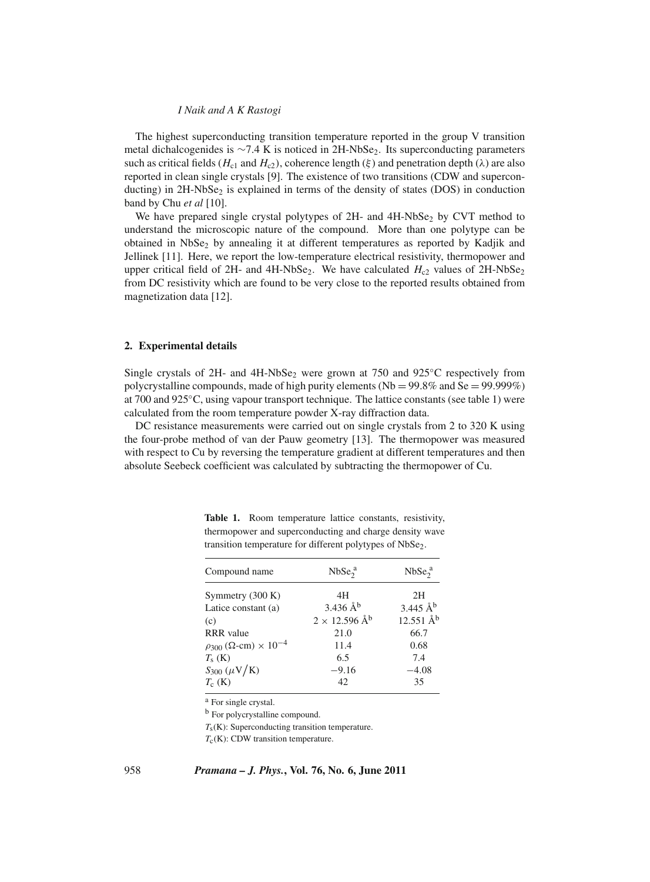#### *I Naik and A K Rastogi*

The highest superconducting transition temperature reported in the group V transition metal dichalcogenides is  $\sim$ 7.4 K is noticed in 2H-NbSe<sub>2</sub>. Its superconducting parameters such as critical fields ( $H_{c1}$  and  $H_{c2}$ ), coherence length ( $\xi$ ) and penetration depth ( $\lambda$ ) are also reported in clean single crystals [9]. The existence of two transitions (CDW and superconducting) in 2H-NbSe<sub>2</sub> is explained in terms of the density of states (DOS) in conduction band by Chu *et al* [10].

We have prepared single crystal polytypes of  $2H$ - and  $4H$ -NbSe<sub>2</sub> by CVT method to understand the microscopic nature of the compound. More than one polytype can be obtained in  $NbSe<sub>2</sub>$  by annealing it at different temperatures as reported by Kadjik and Jellinek [11]. Here, we report the low-temperature electrical resistivity, thermopower and upper critical field of 2H- and 4H-NbSe<sub>2</sub>. We have calculated  $H_{c2}$  values of 2H-NbSe<sub>2</sub> from DC resistivity which are found to be very close to the reported results obtained from magnetization data [12].

#### **2. Experimental details**

Single crystals of 2H- and  $4H-\text{NbSe}_2$  were grown at 750 and 925 $\degree$ C respectively from polycrystalline compounds, made of high purity elements ( $Nb = 99.8\%$  and  $Se = 99.999\%$ ) at 700 and 925◦C, using vapour transport technique. The lattice constants (see table 1) were calculated from the room temperature powder X-ray diffraction data.

DC resistance measurements were carried out on single crystals from 2 to 320 K using the four-probe method of van der Pauw geometry [13]. The thermopower was measured with respect to Cu by reversing the temperature gradient at different temperatures and then absolute Seebeck coefficient was calculated by subtracting the thermopower of Cu.

| Compound name                                 | NbSe <sub>2</sub> <sup>a</sup> | NbSe <sub>2</sub> <sup>a</sup> |
|-----------------------------------------------|--------------------------------|--------------------------------|
| Symmetry (300 K)                              | 4H                             | 2H                             |
| Latice constant (a)                           | $3.436 \text{ Å}^b$            | $3.445 \text{ Å}^b$            |
| (c)                                           | $2 \times 12.596 \text{ Å}^b$  | $12.551 \text{ Å}^b$           |
| <b>RRR</b> value                              | 21.0                           | 66.7                           |
| $\rho_{300}$ ( $\Omega$ -cm) $\times 10^{-4}$ | 11.4                           | 0.68                           |
| $T_s$ (K)                                     | 6.5                            | 7.4                            |
| $S_{300} (\mu V/K)$                           | $-9.16$                        | $-4.08$                        |
| $T_c$ (K)                                     | 42                             | 35                             |

**Table 1.** Room temperature lattice constants, resistivity, thermopower and superconducting and charge density wave transition temperature for different polytypes of NbSe<sub>2</sub>.

<sup>a</sup> For single crystal.

<sup>b</sup> For polycrystalline compound.

*T<sub>s</sub>*(K): Superconducting transition temperature.

*T*<sub>c</sub>(K): CDW transition temperature.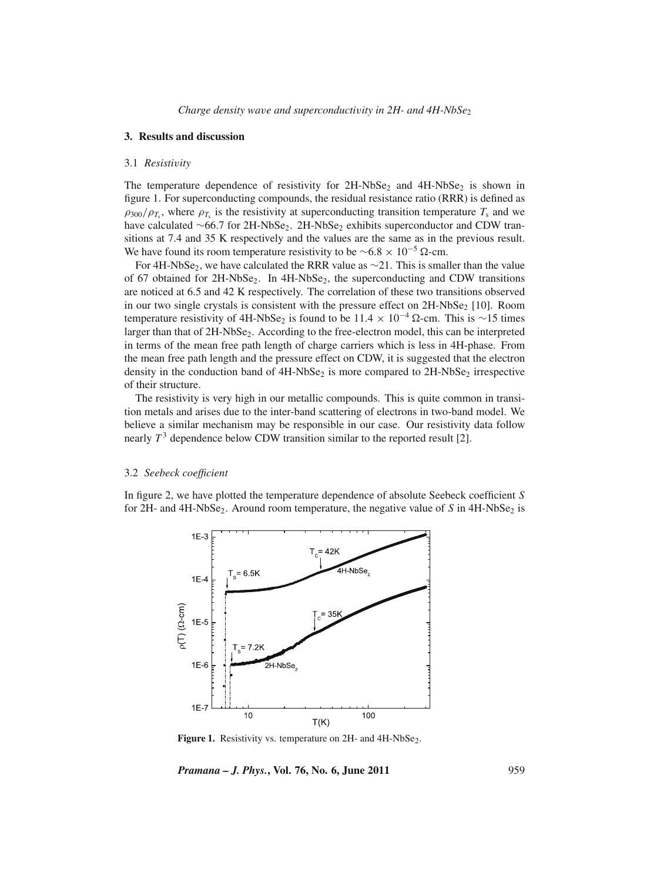### **3. Results and discussion**

#### 3.1 *Resisti*v*ity*

The temperature dependence of resistivity for  $2H\text{-}NbSe_2$  and  $4H\text{-}NbSe_2$  is shown in figure 1. For superconducting compounds, the residual resistance ratio (RRR) is defined as  $\rho_{300}/\rho_{T_s}$ , where  $\rho_{T_s}$  is the resistivity at superconducting transition temperature  $T_s$  and we have calculated  $~66.7$  for 2H-NbSe<sub>2</sub>. 2H-NbSe<sub>2</sub> exhibits superconductor and CDW transitions at 7.4 and 35 K respectively and the values are the same as in the previous result. We have found its room temperature resistivity to be  $~6.8 \times 10^{-5}$  Ω-cm.

For 4H-NbSe<sub>2</sub>, we have calculated the RRR value as  $\sim$ 21. This is smaller than the value of 67 obtained for  $2H\text{-}NbSe_2$ . In  $4H\text{-}NbSe_2$ , the superconducting and CDW transitions are noticed at 6.5 and 42 K respectively. The correlation of these two transitions observed in our two single crystals is consistent with the pressure effect on  $2H\text{-}NbSe_2$  [10]. Room temperature resistivity of 4H-NbSe<sub>2</sub> is found to be 11.4 × 10<sup>-4</sup> Ω-cm. This is ∼15 times larger than that of 2H-NbSe<sub>2</sub>. According to the free-electron model, this can be interpreted in terms of the mean free path length of charge carriers which is less in 4H-phase. From the mean free path length and the pressure effect on CDW, it is suggested that the electron density in the conduction band of  $4H\text{-}NbSe_2$  is more compared to  $2H\text{-}NbSe_2$  irrespective of their structure.

The resistivity is very high in our metallic compounds. This is quite common in transition metals and arises due to the inter-band scattering of electrons in two-band model. We believe a similar mechanism may be responsible in our case. Our resistivity data follow nearly  $T<sup>3</sup>$  dependence below CDW transition similar to the reported result [2].

#### 3.2 *Seebeck coefficient*

In figure 2, we have plotted the temperature dependence of absolute Seebeck coefficient *S* for 2H- and  $4H\text{-}NbSe_2$ . Around room temperature, the negative value of *S* in  $4H\text{-}NbSe_2$  is



Figure 1. Resistivity vs. temperature on 2H- and 4H-NbSe<sub>2</sub>.

*Pramana – J. Phys.***, Vol. 76, No. 6, June 2011** 959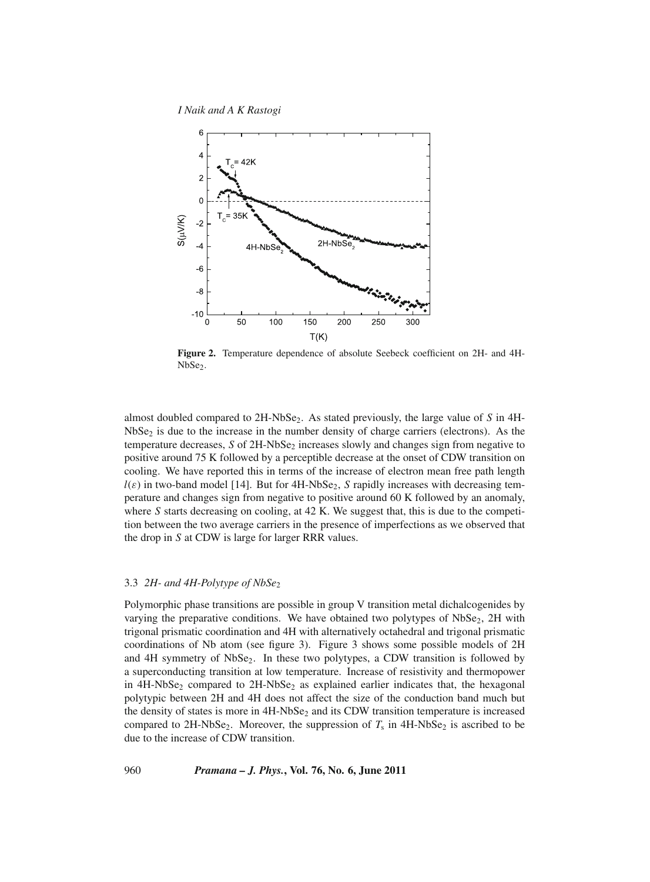*I Naik and A K Rastogi*



**Figure 2.** Temperature dependence of absolute Seebeck coefficient on 2H- and 4H-NbSe<sub>2</sub>.

almost doubled compared to 2H-NbSe<sub>2</sub>. As stated previously, the large value of *S* in 4H- $NbSe<sub>2</sub>$  is due to the increase in the number density of charge carriers (electrons). As the temperature decreases, *S* of 2H-NbSe<sub>2</sub> increases slowly and changes sign from negative to positive around 75 K followed by a perceptible decrease at the onset of CDW transition on cooling. We have reported this in terms of the increase of electron mean free path length  $l(\varepsilon)$  in two-band model [14]. But for 4H-NbSe<sub>2</sub>, *S* rapidly increases with decreasing temperature and changes sign from negative to positive around 60 K followed by an anomaly, where *S* starts decreasing on cooling, at 42 K. We suggest that, this is due to the competition between the two average carriers in the presence of imperfections as we observed that the drop in *S* at CDW is large for larger RRR values.

## 3.3 *2H- and 4H-Polytype of NbSe*<sup>2</sup>

Polymorphic phase transitions are possible in group V transition metal dichalcogenides by varying the preparative conditions. We have obtained two polytypes of  $NbSe<sub>2</sub>$ ,  $2H$  with trigonal prismatic coordination and 4H with alternatively octahedral and trigonal prismatic coordinations of Nb atom (see figure 3). Figure 3 shows some possible models of 2H and  $4H$  symmetry of NbSe<sub>2</sub>. In these two polytypes, a CDW transition is followed by a superconducting transition at low temperature. Increase of resistivity and thermopower in  $4H\text{-}NbSe_2$  compared to  $2H\text{-}NbSe_2$  as explained earlier indicates that, the hexagonal polytypic between 2H and 4H does not affect the size of the conduction band much but the density of states is more in 4H-NbSe<sub>2</sub> and its CDW transition temperature is increased compared to 2H-NbSe<sub>2</sub>. Moreover, the suppression of  $T_s$  in 4H-NbSe<sub>2</sub> is ascribed to be due to the increase of CDW transition.

## 960 *Pramana – J. Phys.***, Vol. 76, No. 6, June 2011**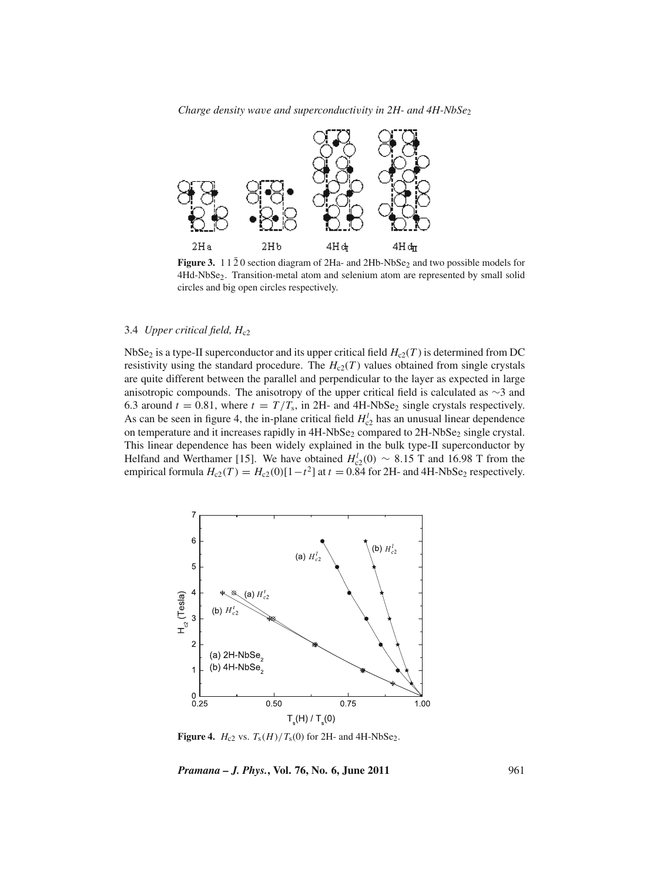

**Figure 3.**  $11\overline{2}0$  section diagram of 2Ha- and 2Hb-NbSe<sub>2</sub> and two possible models for 4Hd-NbSe2. Transition-metal atom and selenium atom are represented by small solid circles and big open circles respectively.

## 3.4 *Upper critical field, H<sub>c2</sub>*

NbSe<sub>2</sub> is a type-II superconductor and its upper critical field  $H_{c2}(T)$  is determined from DC resistivity using the standard procedure. The  $H_{c2}(T)$  values obtained from single crystals are quite different between the parallel and perpendicular to the layer as expected in large anisotropic compounds. The anisotropy of the upper critical field is calculated as ∼3 and 6.3 around  $t = 0.81$ , where  $t = T/T_s$ , in 2H- and 4H-NbSe<sub>2</sub> single crystals respectively. As can be seen in figure 4, the in-plane critical field  $H_{c2}^l$  has an unusual linear dependence on temperature and it increases rapidly in  $4H\text{-}NbSe_2$  compared to  $2H\text{-}NbSe_2$  single crystal. This linear dependence has been widely explained in the bulk type-II superconductor by Helfand and Werthamer [15]. We have obtained  $H_{c2}^{l}(0) \sim 8.15$  T and 16.98 T from the empirical formula  $H_{c2}(T) = H_{c2}(0)[1-t^2]$  at  $t = 0.84$  for 2H- and 4H-NbSe<sub>2</sub> respectively.



**Figure 4.**  $H_{c2}$  vs.  $T_s(H)/T_s(0)$  for 2H- and 4H-NbSe<sub>2</sub>.

*Pramana – J. Phys.***, Vol. 76, No. 6, June 2011** 961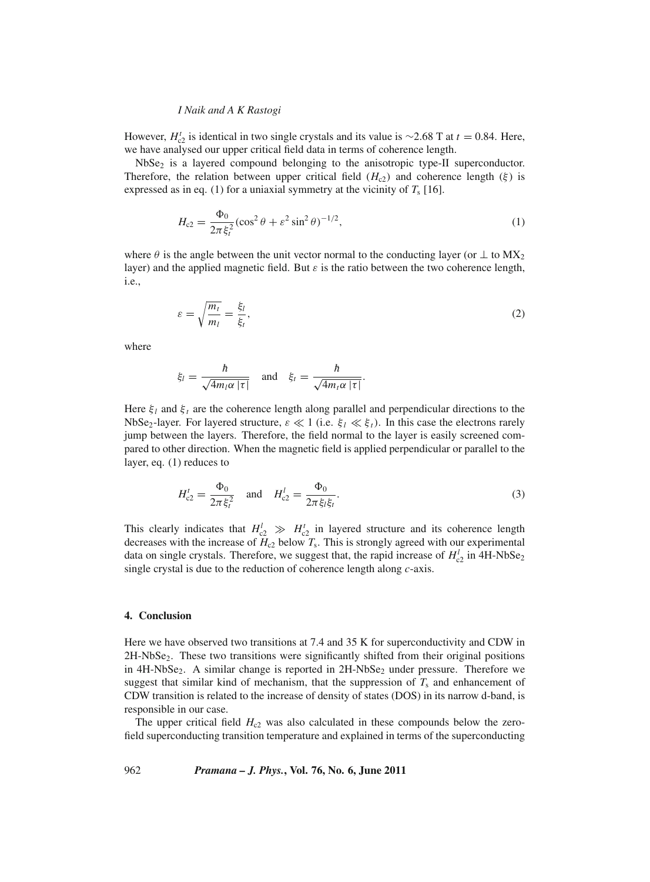#### *I Naik and A K Rastogi*

However,  $H_{c2}^t$  is identical in two single crystals and its value is ~2.68 T at  $t = 0.84$ . Here, we have analysed our upper critical field data in terms of coherence length.

NbSe<sub>2</sub> is a layered compound belonging to the anisotropic type-II superconductor. Therefore, the relation between upper critical field  $(H<sub>c2</sub>)$  and coherence length ( $\xi$ ) is expressed as in eq. (1) for a uniaxial symmetry at the vicinity of  $T_s$  [16].

$$
H_{c2} = \frac{\Phi_0}{2\pi\xi_i^2} (\cos^2\theta + \varepsilon^2 \sin^2\theta)^{-1/2},
$$
\n(1)

where  $\theta$  is the angle between the unit vector normal to the conducting layer (or  $\perp$  to  $MX_2$ ) layer) and the applied magnetic field. But  $\varepsilon$  is the ratio between the two coherence length, i.e.,

$$
\varepsilon = \sqrt{\frac{m_t}{m_l}} = \frac{\xi_l}{\xi_t},\tag{2}
$$

where

$$
\xi_l = \frac{\hbar}{\sqrt{4m_l\alpha |\tau|}}
$$
 and  $\xi_t = \frac{\hbar}{\sqrt{4m_l\alpha |\tau|}}$ .

Here  $\xi_l$  and  $\xi_t$  are the coherence length along parallel and perpendicular directions to the NbSe<sub>2</sub>-layer. For layered structure,  $\varepsilon \ll 1$  (i.e.  $\xi_l \ll \xi_l$ ). In this case the electrons rarely jump between the layers. Therefore, the field normal to the layer is easily screened compared to other direction. When the magnetic field is applied perpendicular or parallel to the layer, eq. (1) reduces to

$$
H_{c2}^{t} = \frac{\Phi_0}{2\pi \xi_i^2} \quad \text{and} \quad H_{c2}^{l} = \frac{\Phi_0}{2\pi \xi_l \xi_i}.
$$
 (3)

This clearly indicates that  $H_{c2}^l \gg H_{c2}^t$  in layered structure and its coherence length decreases with the increase of  $H_{c2}$  below  $T_s$ . This is strongly agreed with our experimental data on single crystals. Therefore, we suggest that, the rapid increase of  $H_{c2}^l$  in 4H-NbSe<sub>2</sub> single crystal is due to the reduction of coherence length along *c*-axis.

#### **4. Conclusion**

Here we have observed two transitions at 7.4 and 35 K for superconductivity and CDW in 2H-NbSe<sub>2</sub>. These two transitions were significantly shifted from their original positions in  $4H-NbSe<sub>2</sub>$ . A similar change is reported in  $2H-NbSe<sub>2</sub>$  under pressure. Therefore we suggest that similar kind of mechanism, that the suppression of  $T_s$  and enhancement of CDW transition is related to the increase of density of states (DOS) in its narrow d-band, is responsible in our case.

The upper critical field  $H_{c2}$  was also calculated in these compounds below the zerofield superconducting transition temperature and explained in terms of the superconducting

962 *Pramana – J. Phys.***, Vol. 76, No. 6, June 2011**